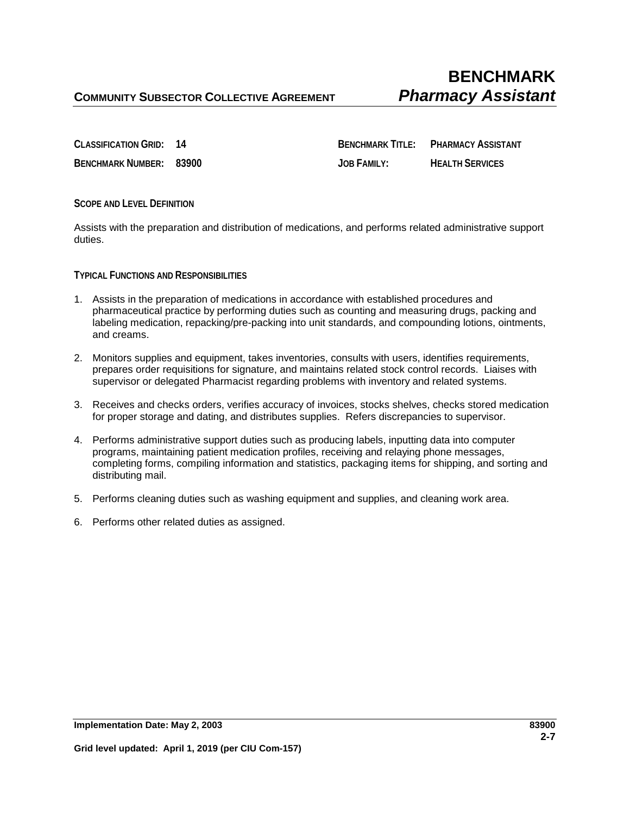**CLASSIFICATION GRID: 14 BENCHMARK TITLE: PHARMACY ASSISTANT BENCHMARK NUMBER: 83900 JOB FAMILY: HEALTH SERVICES**

**SCOPE AND LEVEL DEFINITION**

Assists with the preparation and distribution of medications, and performs related administrative support duties.

**TYPICAL FUNCTIONS AND RESPONSIBILITIES**

- 1. Assists in the preparation of medications in accordance with established procedures and pharmaceutical practice by performing duties such as counting and measuring drugs, packing and labeling medication, repacking/pre-packing into unit standards, and compounding lotions, ointments, and creams.
- 2. Monitors supplies and equipment, takes inventories, consults with users, identifies requirements, prepares order requisitions for signature, and maintains related stock control records. Liaises with supervisor or delegated Pharmacist regarding problems with inventory and related systems.
- 3. Receives and checks orders, verifies accuracy of invoices, stocks shelves, checks stored medication for proper storage and dating, and distributes supplies. Refers discrepancies to supervisor.
- 4. Performs administrative support duties such as producing labels, inputting data into computer programs, maintaining patient medication profiles, receiving and relaying phone messages, completing forms, compiling information and statistics, packaging items for shipping, and sorting and distributing mail.
- 5. Performs cleaning duties such as washing equipment and supplies, and cleaning work area.
- 6. Performs other related duties as assigned.